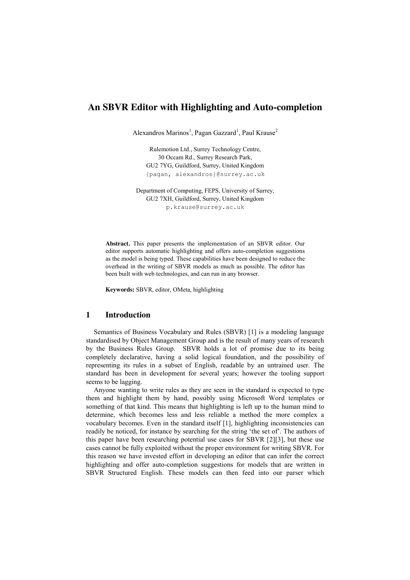# **An SBVR Editor with Highlighting and Auto-completion**

Alexandros Marinos<sup>1</sup>, Pagan Gazzard<sup>1</sup>, Paul Krause<sup>2</sup>

Rulemotion Ltd., Surrey Technology Centre, 30 Occam Rd., Surrey Research Park, GU2 7YG, Guildford, Surrey, United Kingdom {pagan, alexandros}@surrey.ac.uk

Department of Computing, FEPS, University of Surrey, GU2 7XH, Guildford, Surrey, United Kingdom p.krause@surrey.ac.uk

**Abstract.** This paper presents the implementation of an SBVR editor. Our editor supports automatic highlighting and offers auto-completion suggestions as the model is being typed. These capabilities have been designed to reduce the overhead in the writing of SBVR models as much as possible. The editor has been built with web technologies, and can run in any browser.

**Keywords:** SBVR, editor, OMeta, highlighting

## **1 Introduction**

Semantics of Business Vocabulary and Rules (SBVR) [1] is a modeling language standardised by Object Management Group and is the result of many years of research by the Business Rules Group. SBVR holds a lot of promise due to its being completely declarative, having a solid logical foundation, and the possibility of representing its rules in a subset of English, readable by an untrained user. The standard has been in development for several years; however the tooling support seems to be lagging.

Anyone wanting to write rules as they are seen in the standard is expected to type them and highlight them by hand, possibly using Microsoft Word templates or something of that kind. This means that highlighting is left up to the human mind to determine, which becomes less and less reliable a method the more complex a vocabulary becomes. Even in the standard itself [1], highlighting inconsistencies can readily be noticed, for instance by searching for the string 'the set of'. The authors of this paper have been researching potential use cases for SBVR [2][3], but these use cases cannot be fully exploited without the proper environment for writing SBVR. For this reason we have invested effort in developing an editor that can infer the correct highlighting and offer auto-completion suggestions for models that are written in SBVR Structured English. These models can then feed into our parser which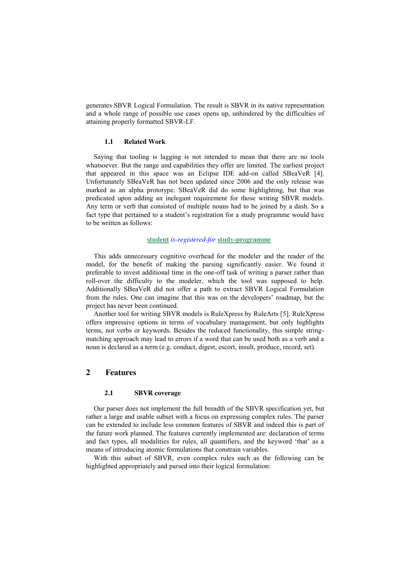generates SBVR Logical Formulation. The result is SBVR in its native representation and a whole range of possible use cases opens up, unhindered by the difficulties of attaining properly formatted SBVR-LF.

### **1.1 Related Work**

Saying that tooling is lagging is not intended to mean that there are no tools whatsoever. But the range and capabilities they offer are limited. The earliest project that appeared in this space was an Eclipse IDE add-on called SBeaVeR [4]. Unfortunately SBeaVeR has not been updated since 2006 and the only release was marked as an alpha prototype. SBeaVeR did do some highlighting, but that was predicated upon adding an inelegant requirement for those writing SBVR models. Any term or verb that consisted of multiple nouns had to be joined by a dash. So a fact type that pertained to a student's registration for a study programme would have to be written as follows:

#### **student** *is-registered-for* **study-programme**

This adds unnecessary cognitive overhead for the modeler and the reader of the model, for the benefit of making the parsing significantly easier. We found it preferable to invest additional time in the one-off task of writing a parser rather than roll-over the difficulty to the modeler, which the tool was supposed to help. Additionally SBeaVeR did not offer a path to extract SBVR Logical Formulation from the rules. One can imagine that this was on the developers' roadmap, but the project has never been continued.

Another tool for writing SBVR models is RuleXpress by RuleArts [5]. RuleXpress offers impressive options in terms of vocabulary management, but only highlights terms, not verbs or keywords. Besides the reduced functionality, this simple stringmatching approach may lead to errors if a word that can be used both as a verb and a noun is declared as a term (e.g. conduct, digest, escort, insult, produce, record, set).

## **2 Features**

#### **2.1 SBVR coverage**

Our parser does not implement the full breadth of the SBVR specification yet, but rather a large and usable subset with a focus on expressing complex rules. The parser can be extended to include less common features of SBVR and indeed this is part of the future work planned. The features currently implemented are: declaration of terms and fact types, all modalities for rules, all quantifiers, and the keyword 'that' as a means of introducing atomic formulations that constrain variables.

With this subset of SBVR, even complex rules such as the following can be highlighted appropriately and parsed into their logical formulation: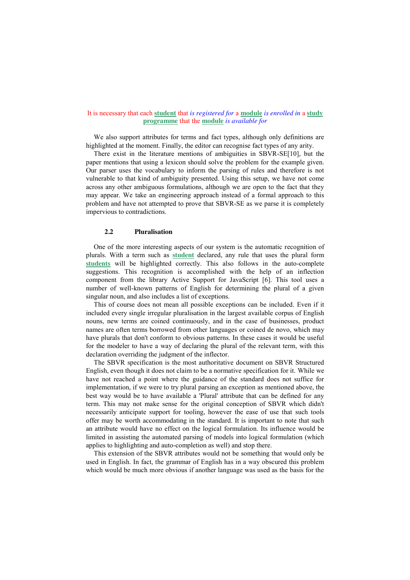### It is necessary that each **student** that *is registered for* a **module** *is enrolled in* a **study programme** that the **module** *is available for*

We also support attributes for terms and fact types, although only definitions are highlighted at the moment. Finally, the editor can recognise fact types of any arity.

There exist in the literature mentions of ambiguities in SBVR-SE[10], but the paper mentions that using a lexicon should solve the problem for the example given. Our parser uses the vocabulary to inform the parsing of rules and therefore is not vulnerable to that kind of ambiguity presented. Using this setup, we have not come across any other ambiguous formulations, although we are open to the fact that they may appear. We take an engineering approach instead of a formal approach to this problem and have not attempted to prove that SBVR-SE as we parse it is completely impervious to contradictions.

#### **2.2 Pluralisation**

One of the more interesting aspects of our system is the automatic recognition of plurals. With a term such as **student** declared, any rule that uses the plural form **students** will be highlighted correctly. This also follows in the auto-complete suggestions. This recognition is accomplished with the help of an inflection component from the library Active Support for JavaScript [6]. This tool uses a number of well-known patterns of English for determining the plural of a given singular noun, and also includes a list of exceptions.

This of course does not mean all possible exceptions can be included. Even if it included every single irregular pluralisation in the largest available corpus of English nouns, new terms are coined continuously, and in the case of businesses, product names are often terms borrowed from other languages or coined de novo, which may have plurals that don't conform to obvious patterns. In these cases it would be useful for the modeler to have a way of declaring the plural of the relevant term, with this declaration overriding the judgment of the inflector.

The SBVR specification is the most authoritative document on SBVR Structured English, even though it does not claim to be a normative specification for it. While we have not reached a point where the guidance of the standard does not suffice for implementation, if we were to try plural parsing an exception as mentioned above, the best way would be to have available a 'Plural' attribute that can be defined for any term. This may not make sense for the original conception of SBVR which didn't necessarily anticipate support for tooling, however the ease of use that such tools offer may be worth accommodating in the standard. It is important to note that such an attribute would have no effect on the logical formulation. Its influence would be limited in assisting the automated parsing of models into logical formulation (which applies to highlighting and auto-completion as well) and stop there.

This extension of the SBVR attributes would not be something that would only be used in English. In fact, the grammar of English has in a way obscured this problem which would be much more obvious if another language was used as the basis for the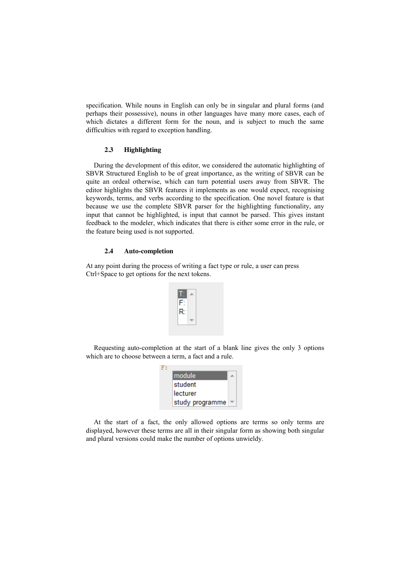specification. While nouns in English can only be in singular and plural forms (and perhaps their possessive), nouns in other languages have many more cases, each of which dictates a different form for the noun, and is subject to much the same difficulties with regard to exception handling.

### **2.3 Highlighting**

During the development of this editor, we considered the automatic highlighting of SBVR Structured English to be of great importance, as the writing of SBVR can be quite an ordeal otherwise, which can turn potential users away from SBVR. The editor highlights the SBVR features it implements as one would expect, recognising keywords, terms, and verbs according to the specification. One novel feature is that because we use the complete SBVR parser for the highlighting functionality, any input that cannot be highlighted, is input that cannot be parsed. This gives instant feedback to the modeler, which indicates that there is either some error in the rule, or the feature being used is not supported.

#### **2.4 Auto-completion**

At any point during the process of writing a fact type or rule, a user can press Ctrl+Space to get options for the next tokens.

| F۰ |  |
|----|--|
| R: |  |
|    |  |

Requesting auto-completion at the start of a blank line gives the only 3 options which are to choose between a term, a fact and a rule.

| module          |  |
|-----------------|--|
| student         |  |
| lecturer        |  |
| study programme |  |

At the start of a fact, the only allowed options are terms so only terms are displayed, however these terms are all in their singular form as showing both singular and plural versions could make the number of options unwieldy.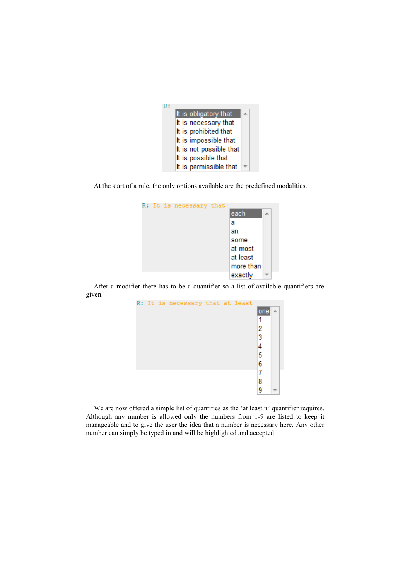

At the start of a rule, the only options available are the predefined modalities.

|  | R: It is necessary that |           |  |
|--|-------------------------|-----------|--|
|  |                         | each      |  |
|  |                         | а         |  |
|  |                         | an        |  |
|  |                         | some      |  |
|  |                         | at most   |  |
|  |                         | at least  |  |
|  |                         | more than |  |
|  |                         | exactly   |  |

After a modifier there has to be a quantifier so a list of available quantifiers are given.



We are now offered a simple list of quantities as the 'at least n' quantifier requires. Although any number is allowed only the numbers from 1-9 are listed to keep it manageable and to give the user the idea that a number is necessary here. Any other number can simply be typed in and will be highlighted and accepted.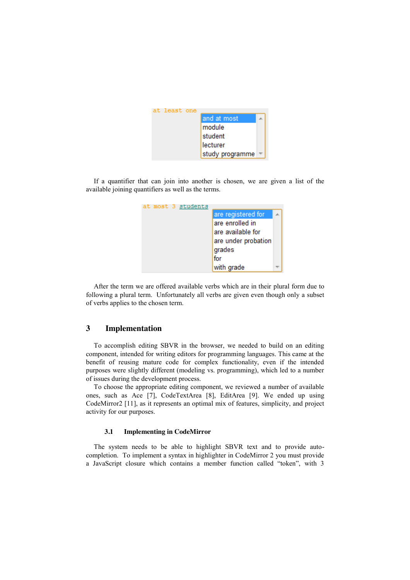

If a quantifier that can join into another is chosen, we are given a list of the available joining quantifiers as well as the terms.



After the term we are offered available verbs which are in their plural form due to following a plural term. Unfortunately all verbs are given even though only a subset of verbs applies to the chosen term.

# **3 Implementation**

To accomplish editing SBVR in the browser, we needed to build on an editing component, intended for writing editors for programming languages. This came at the benefit of reusing mature code for complex functionality, even if the intended purposes were slightly different (modeling vs. programming), which led to a number of issues during the development process.

To choose the appropriate editing component, we reviewed a number of available ones, such as Ace [7], CodeTextArea [8], EditArea [9]. We ended up using CodeMirror2 [11], as it represents an optimal mix of features, simplicity, and project activity for our purposes.

#### **3.1 Implementing in CodeMirror**

The system needs to be able to highlight SBVR text and to provide autocompletion. To implement a syntax in highlighter in CodeMirror 2 you must provide a JavaScript closure which contains a member function called "token", with 3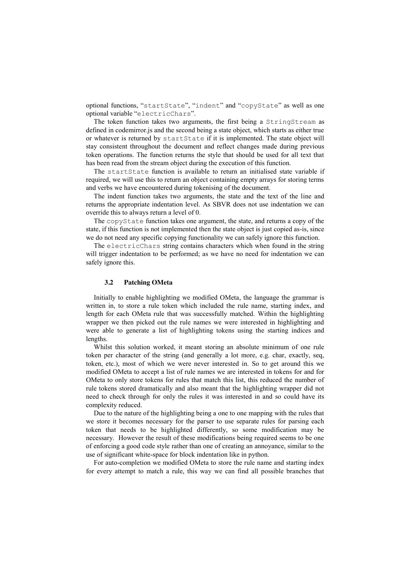optional functions, "startState", "indent" and "copyState" as well as one optional variable "electricChars".

The token function takes two arguments, the first being a StringStream as defined in codemirror.js and the second being a state object, which starts as either true or whatever is returned by startState if it is implemented. The state object will stay consistent throughout the document and reflect changes made during previous token operations. The function returns the style that should be used for all text that has been read from the stream object during the execution of this function.

The startState function is available to return an initialised state variable if required, we will use this to return an object containing empty arrays for storing terms and verbs we have encountered during tokenising of the document.

The indent function takes two arguments, the state and the text of the line and returns the appropriate indentation level. As SBVR does not use indentation we can override this to always return a level of 0.

The copyState function takes one argument, the state, and returns a copy of the state, if this function is not implemented then the state object is just copied as-is, since we do not need any specific copying functionality we can safely ignore this function.

The electricChars string contains characters which when found in the string will trigger indentation to be performed; as we have no need for indentation we can safely ignore this.

### **3.2 Patching OMeta**

Initially to enable highlighting we modified OMeta, the language the grammar is written in, to store a rule token which included the rule name, starting index, and length for each OMeta rule that was successfully matched. Within the highlighting wrapper we then picked out the rule names we were interested in highlighting and were able to generate a list of highlighting tokens using the starting indices and lengths.

Whilst this solution worked, it meant storing an absolute minimum of one rule token per character of the string (and generally a lot more, e.g. char, exactly, seq, token, etc.), most of which we were never interested in. So to get around this we modified OMeta to accept a list of rule names we are interested in tokens for and for OMeta to only store tokens for rules that match this list, this reduced the number of rule tokens stored dramatically and also meant that the highlighting wrapper did not need to check through for only the rules it was interested in and so could have its complexity reduced.

Due to the nature of the highlighting being a one to one mapping with the rules that we store it becomes necessary for the parser to use separate rules for parsing each token that needs to be highlighted differently, so some modification may be necessary. However the result of these modifications being required seems to be one of enforcing a good code style rather than one of creating an annoyance, similar to the use of significant white-space for block indentation like in python.

For auto-completion we modified OMeta to store the rule name and starting index for every attempt to match a rule, this way we can find all possible branches that